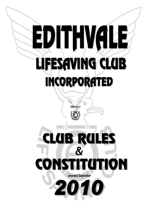# ED IT HVALE LIFESAVING CLUB **INCORPORATED** EDITHVÁLE **RU**  $\boldsymbol{\mathcal{S}}$ amended September 2010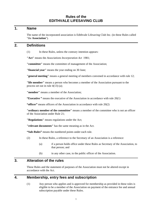# **Rules of the EDITHVALE LIFESAVING CLUB**

#### **1. Name**

The name of the incorporated association is Edithvale Lifesaving Club Inc. (in these Rules called "the **Association**").

#### **2. Definitions**

(1) In these Rules, unless the contrary intention appears:

**"Act"** means the *Associations Incorporation Act* 1981;

**"committee"** means the committee of management of the Association;

**"financial year"** means the year ending on 30 June;

**"general meeting"** means a general meeting of members convened in accordance with rule 12;

**"life member"** means a person who becomes a member of the Association pursuant to the process set out in rule 4(13) (a);

**"member"** means a member of the Association;

**"Executive**" means the executive of the Association in accordance with rule 20(1)

**"officer"** means officers of the Association in accordance with rule 20(2)

**"ordinary member of the committee"** means a member of the committee who is not an officer of the Association under Rule 21;

**"Regulations"** means regulations under the Act;

**"relevant documents"** has the same meaning as in the Act.

**"Sub-Rules"** means the numbered points under each rule.

- (2) In these Rules, a reference to the Secretary of an Association is a reference:
	- (a) if a person holds office under these Rules as Secretary of the Association, to that person; and
	- (b) in any other case, to the public officer of the Association.

#### **3. Alteration of the rules**

These Rules and the statement of purposes of the Association must not be altered except in accordance with the Act.

#### **4. Membership, entry fees and subscription**

(1) Any person who applies and is approved for membership as provided in these rules is eligible to be a member of the Association on payment of the entrance fee and annual subscription payable under these Rules.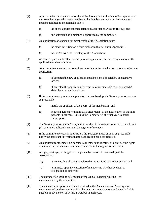- (2) A person who is not a member of the of the Association at the time of incorporation of the Association (or who was a member at the time but has ceased to be a member) must be admitted to membership unless
	- (a) he or she applies for membership in accordance with sub-rule (3); and
	- (b) the admission as a member is approved by the committee.
- (3) An application of a person for membership of the Association must
	- (a) be made in writing on a form similar to that set out in Appendix 1;
	- (b) be lodged with the Secretary of the Association.
- (4) As soon as practicable after the receipt of an application, the Secretary must refer the application to the committee.
- (5) At a committee meeting the committee must determine whether to approve or reject the application.
	- (a) if accepted the new application must be signed & dated by an executive officer.
	- (b) if accepted the application for renewal of membership must be signed  $\&$ dated by an executive officer.
- (6) If the committee approves an application for membership, the Secretary must, as soon as practicable;
	- (a) notify the applicant of the approval for membership, and
	- (b) request payment within 28 days after receipt of the notification of the sum payable under these Rules as the joining fee & the first year's annual subscription.
- (7) The Secretary must, within 28 days after receipt of the amounts referred to in sub-rule (6), enter the applicant's name in the register of members.
- (8) If the committee rejects an application, the Secretary must, as soon as practicable notify the applicant in writing that the application has been rejected.
- (9) An applicant for membership becomes a member and is entitled to exercise the rights of membership when his or her name is entered in the register of members.
- (10) A right, privilege, or obligation of a person by reason of membership of the Association:
	- (a) is not capable of being transferred or transmitted to another person; and
	- (b) terminates upon the cessation of membership whether by death or resignation or otherwise.
- (11) The entrance fee shall be determined at the Annual General Meeting as recommended by the committee
- (12) The annual subscription shall be determined at the Annual General Meeting as recommended by the committee  $\&$  is the relevant amount set out in Appendix 2  $\&$  is payable in advance on or before 1 October in each year.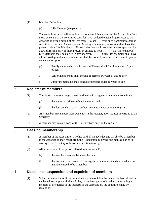- (13) Member Definition;
	- (a) Life Member (see page 1)

The committee only shall be entitled to nominate life members of the Association from those persons that the committee consider have rendered outstanding services to the Association over a period of not less than 10 years. Every such nomination shall be submitted to the next Annual General Meeting of members, who alone shall have the power to elect Life Members. No such election shall take effect unless approved by a two-thirds majority of those present & entitled to vote. Not more that two Life Members shall be elected in any one year. Such Life Members shall have all the privileges of adult members but shall be exempt from the requirement to pay an annual subscription.

- (c) Family membership shall consist of Parents & all Children under 16 years of age.
- (b) Senior membership shall consist of persons 16 years of age & over.
- (c) Junior membership shall consist of persons under 16 years of age.

## **5. Register of members**

- (1) The Secretary must arrange to keep and maintain a register of members containing:
	- (a) the name and address of each member; and
	- (b) the date on which each member's name was entered in the register.
- (2) Any member may inspect their own entry in the register, upon request, in writing to the Secretary.
- (3) A member may make a copy of their own entries only, in the register.

#### **6. Ceasing membership**

- (1) A member of the Association who has paid all moneys due and payable by a member to the Association may resign from the Association by giving one month's notice in writing to the Secretary of his or her intention to resign.
- (2) After the expiry of the period referred to in sub-rule (1):
	- (a) the member ceases to be a member; and
	- (b) the Secretary must record in the register of members the date on which the member ceased to be a member.

## **7. Discipline, suspension and expulsion of members**

(1) Subject to these Rules, if the committee is of the opinion that a member has refused or neglected to comply with these Rules, or has been guilty of conduct unbecoming a member or prejudicial to the interests of the Association, the committee may by resolution: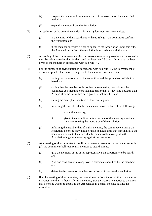- (a) suspend that member from membership of the Association for a specified period; or
- (b) expel that member from the Association.
- (2) A resolution of the committee under sub-rule (1) does not take effect unless:
	- (a) at a meeting held in accordance with sub-rule (3), the committee confirms the resolution; and
	- (b) if the member exercises a right of appeal to the Association under this rule, the Association confirms the resolution in accordance with this rule.
- (3) A meeting of the committee to confirm or revoke a resolution passed under sub-rule (1) must be held not earlier than 14 days, and not later than 28 days, after notice has been given to the member in accordance with sub-rule (4).
- (4) For the purposes of giving notice in accordance with sub-rule (3), the Secretary must, as soon as practicable, cause to be given to the member a written notice:
	- (a) setting out the resolution of the committee and the grounds on which it is based; and
	- (b) stating that the member, or his or her representative, may address the committee at a meeting to be held not earlier than 14 days and not later than 28 days after the notice has been given to that member; and
	- (c) stating the date, place and time of that meeting; and
	- (d) informing the member that he or she may do one or both of the following
		- i. attend that meeting;
		- ii. give to the committee before the date of that meeting a written statement seeking the revocation of the resolution;
	- (e) informing the member that, if at that meeting, the committee confirms the resolution, he or she may, not later than 48 hours after that meeting, give the Secretary a notice to the effect that he or she wishes to appeal to the Association in general meeting against the resolution.
- (5) At a meeting of the committee to confirm or revoke a resolution passed under sub-rule (1), the committee shall require that member to attend  $\&$  must:
	- (a) give the member, or his or her representative, an opportunity to be heard; and
	- (b) give due consideration to any written statement submitted by the member; and
	- (c) determine by resolution whether to confirm or to revoke the resolution.
- (6) If at the meeting of the committee, the committee confirms the resolution, the member may, not later than 48 hours after that meeting, give the Secretary a notice to the effect that he or she wishes to appeal to the Association in general meeting against the resolution.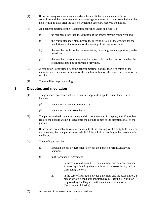- (7) If the Secretary receives a notice under sub-rule (6), he or she must notify the committee and the committee must convene a general meeting of the Association to be held within 28 days after the date on which the Secretary received the notice.
- (8) At a general meeting of the Association convened under sub-rule (7):
	- (a) no business other than the question of the appeal may be conducted; and
	- (b) the committee may place before the meeting details of the grounds for the resolution and the reasons for the passing of the resolution; and
	- (c) the member, or his or her representative, must be given an opportunity to be heard; and
	- (d) the members present must vote by secret ballot on the question whether the resolution should be confirmed or revoked.
- (9) A resolution is confirmed if, at the general meeting, not less than two-thirds of the members vote in person, in favour of the resolution. In any other case, the resolution is revoked.
- (10) There will be no proxy voting.

#### **8. Disputes and mediation**

- (1) The grievance procedure set out in this rule applies to disputes under these Rules between:
	- (a) a member and another member; or
	- (b) a member and the Association.
- (2) The parties to the dispute must meet and discuss the matter in dispute, and, if possible, resolve the dispute within 14 days after the dispute comes to the attention of all of the parties.
- (3) If the parties are unable to resolve the dispute at the meeting, or if a party fails to attend that meeting, then the parties must, within 10 days, hold a meeting in the presence of a mediator.
- (4) The mediator must be:
	- (a) a person chosen by agreement between the parties; or from Lifesaving Victoria
	- (b) in the absence of agreement:
		- i. in the case of a dispute between a member and another member, a person appointed by the committee of the Association; or from Lifesaving Victoria.
		- ii. in the case of a dispute between a member and the Association, a person who is a mediator appointed by Lifesaving Victoria, or employed by the Dispute Settlement Centre of Victoria (Department of Justice).
- (5) A member of the Association can be a mediator.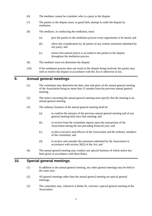- (6) The mediator cannot be a member who is a party to the dispute.
- (7) The parties to the dispute must, in good faith, attempt to settle the dispute by mediation.
- (8) The mediator, in conducting the mediation, must:
	- (a) give the parties to the mediation process every opportunity to be heard; and
	- (b) allow due consideration by all parties of any written statement submitted by any party; and
	- (c) ensure that natural justice is accorded to the parties to the dispute throughout the mediation process.
- (9) The mediator must not determine the dispute.
- (10) If the mediation process does not result in the dispute being resolved, the parties may seek to resolve the dispute in accordance with the Act or otherwise at law.

#### **9. Annual general meetings**

- (1) The committee may determine the date, time and place of the annual general meeting of the Association being no more than 15 months from the previous annual general meeting.
- (2) The notice convening the annual general meeting must specify that the meeting is an annual general meeting.
- (3) The ordinary business of the annual general meeting shall be:
	- (a) to confirm the minutes of the previous annual general meeting and of any general meeting held since that meeting; and
	- (b) to receive from the committee reports upon the transactions of the Association during the last preceding financial year; and
	- (c) to elect executive and officers of the Association and the ordinary members of the committee; and
	- (d) to receive and consider the statement submitted by the Association in accordance with section 30(3) of the Act; and
- (4) The annual general meeting may conduct any special business of which notice has been given in accordance with these Rules.

## **10. Special general meetings**

- (1) In addition to the annual general meeting, any other general meetings may be held in the same year.
- (2) All general meetings other than the annual general meeting are special general meetings.
- (3) The committee may, whenever it thinks fit, convene a special general meeting of the Association.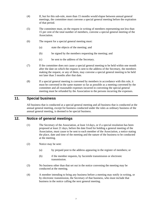- (4) If, but for this sub-rule, more than 15 months would elapse between annual general meetings, the committee must convene a special general meeting before the expiration of that period.
- (5) The committee must, on the request in writing of members representing not less than 15 per cent of the total number of members, convene a special general meeting of the Association.
- (6) The request for a special general meeting must:
	- (a) state the objects of the meeting; and
	- (b) be signed by the members requesting the meeting; and
	- (c) be sent to the address of the Secretary.
- (7) If the committee does not cause a special general meeting to be held within one month after the date on which the request is sent to the address of the Secretary, the members making the request, or any of them, may convene a special general meeting to be held not later than 3 months after that date.
- (8) If a special general meeting is convened by members in accordance with this rule, it must be convened in the same manner so far as possible as a meeting convened by the committee and all reasonable expenses incurred in convening the special general meeting must be refunded by the Association to the persons incurring the expenses.

## **11. Special business**

All business that is conducted at a special general meeting and all business that is conducted at the annual general meeting, except for business conducted under the rules as ordinary business of the annual general meeting, is deemed to be special business.

# **12. Notice of general meetings**

- (1) The Secretary of the Association, at least 14 days, or if a special resolution has been proposed at least 21 days, before the date fixed for holding a general meeting of the Association, must cause to be sent to each member of the Association, a notice stating the place, date and time of the meeting and the nature of the business to be conducted at the meeting.
- (2) Notice may be sent:
	- (a) by prepaid post to the address appearing in the register of members; or
	- (b) if the member requests, by facsimile transmission or electronic transmission.
- (3) No business other than that set out in the notice convening the meeting may be conducted at the meeting.
- (4) A member intending to bring any business before a meeting may notify in writing, or by electronic transmission, the Secretary of that business, who must include that business in the notice calling the next general meeting.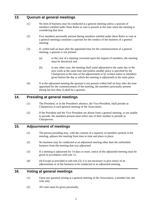#### **13. Quorum at general meetings**

- (1) No item of business may be conducted at a general meeting unless a quorum of members entitled under these Rules to vote is present at the time when the meeting is considering that item.
- (2) Five members personally present (being members entitled under these Rules to vote at a general meeting) constitute a quorum for the conduct of the business of a general meeting.
- (3) If, within half an hour after the appointed time for the commencement of a general meeting, a quorum is not present:
	- (a) in the case of a meeting convened upon the request of members, the meeting must be dissolved; and
	- (b) in any other case, the meeting shall stand adjourned to the same day in the next week at the same time and (unless another place is specified by the Chairperson at the time of the adjournment or by written notice to members given before the day to which the meeting is adjourned) at the same place.
- (4) If at the adjourned meeting the quorum is not present within half an hour after the time appointed for the commencement of the meeting, the members personally present (being not less than 3) shall be a quorum.

## **14. Presiding at general meetings**

- (1) The President, or in the President's absence, the Vice-President, shall preside as Chairperson at each general meeting of the Association.
- (2) If the President and the Vice-President are absent from a general meeting, or are unable to preside, the members present must select one of their number to preside as Chairperson.

## **15. Adjournment of meetings**

- (1) The person presiding may, with the consent of a majority of members present at the meeting, adjourn the meeting from time to time and place to place.
- (2) No business may be conducted at an adjourned meeting other than the unfinished business from the meeting that was adjourned.
- (3) If a meeting is adjourned for 14 days or more, notice of the adjourned meeting must be given in accordance with rule 12.
- (4) (4) Except as provided in sub-rule (3), it is not necessary to give notice of an adjournment or of the business to be conducted at an adjourned meeting.

# **16. Voting at general meetings**

- (1) Upon any question arising at a general meeting of the Association, a member has one vote only.
- (2) All votes must be given personally.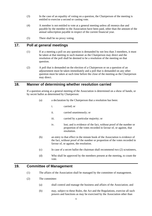- (3) In the case of an equality of voting on a question, the Chairperson of the meeting is entitled to exercise a second or casting vote.
- (4) A member is not entitled to vote at a general meeting unless all moneys due and payable by the member to the Association have been paid, other than the amount of the annual subscription payable in respect of the current financial year.
- (5) There shall be no proxy voting.

## **17. Poll at general meetings**

- (1) If at a meeting a poll on any question is demanded by not less than 3 members, it must be taken at that meeting in such manner as the Chairperson may direct and the resolution of the poll shall be deemed to be a resolution of the meeting on that question.
- (2) A poll that is demanded on the election of a Chairperson or on a question of an adjournment must be taken immediately and a poll that is demanded on any other question must be taken at such time before the close of the meeting as the Chairperson may direct.

#### **18. Manner of determining whether resolution carried**

If a question arising at a general meeting of the Association is determined on a show of hands, or by secret ballot as determined by Chairperson:

- (a) a declaration by the Chairperson that a resolution has been:
	- i. carried; or
		- ii. carried unanimously; or
		- iii. carried by a particular majority; or
		- iv. lost; and is evidence of the fact, without proof of the number or proportion of the votes recorded in favour of, or against, that resolution.
- (b) an entry to that effect in the minute book of the Association is evidence of the fact, without proof of the number or proportion of the votes recorded in favour of, or against, the resolution.
- (c) In case of a secret ballot the chairman shall recommend two (2) scrutineers,
- (d) Who shall be approved by the members present at the meeting, to count the vote.

## **19. Committee of Management**

- (1) The affairs of the Association shall be managed by the committee of management.
- (2) The committee:
	- (a) shall control and manage the business and affairs of the Association; and
	- (b) may, subject to these Rules, the Act and the Regulations, exercise all such powers and functions as may be exercised by the Association other than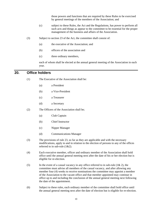those powers and functions that are required by these Rules to be exercised by general meetings of the members of the Association; and

- (c) subject to these Rules, the Act and the Regulations, has power to perform all such acts and things as appear to the committee to be essential for the proper management of the business and affairs of the Association.
- (3) Subject to section 23 of the Act, the committee shall consist of:
	- (a) the executive of the Association; and
	- (b) officers of the association and
	- (c) three ordinary members,

each of whom shall be elected at the annual general meeting of the Association in each year.

#### **20. Office holders**

- (1) The Executive of the Association shall be:
	- (a) a President
	- (b) a Vice-President
	- (c) a Treasurer
	- (d) a Secretary
- (2) The Officers of the Association shall be;
	- (a) Club Captain
	- (b) Chief Instructor
	- (c) Nipper Manager
	- (d) Communications Manager
- (3) The provisions of rule 23, so far as they are applicable and with the necessary modifications, apply to and in relation to the election of persons to any of the offices referred to in sub-rule (1&2).
- (4) Each executive member, officer and ordinary member of the Association shall hold office until the annual general meeting next after the date of his or her election but is eligible for re-election.
- (5) In the event of a casual vacancy in any office referred to in sub-rule  $(1& 2)$ , the committee must advise all members of the casual vacancy, and after allowing any member four (4) weeks to receive nominations the committee may appoint a member of the Association to the vacant office and that member appointed may continue in office up to and including the conclusion of the annual general meeting next following the date of the appointment.
- (6) Subject to these rules, each ordinary member of the committee shall hold office until the annual general meeting next after the date of election but is eligible for re-election.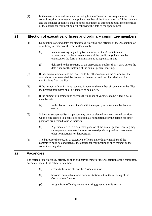(7) In the event of a casual vacancy occurring in the office of an ordinary member of the committee, the committee may appoint a member of the Association to fill the vacancy and the member appointed shall hold office, subject to these rules, until the conclusion of the annual general meeting next following the date of the appointment

## **21. Election of executive, officers and ordinary committee members**

- (1) Nominations of candidates for election as executive and officers of the Association or as ordinary members of the committee must be:
	- (a) made in writing, signed by two members of the Association and accompanied by the written consent of the candidate (which may be endorsed on the form of nomination as at appendix 3); and
	- (b) delivered to the Secretary of the Association not less than 7 days before the date fixed for the holding of the annual general meeting.
- (2) If insufficient nominations are received to fill all vacancies on the committee, the candidates nominated shall be deemed to be elected and the chair shall call for nominations from the floor.
- (3) If the number of nominations received is equal to the number of vacancies to be filled, the persons nominated shall be deemed to be elected.
- (4) If the number of nominations exceeds the number of vacancies to be filled, a ballot must be held.
	- (a) In this ballot, the nominee/s with the majority of votes must be declared elected.
- (5) Subject to sub-point (5) (a) a person may only be elected to one contested position. Upon being elected to a contested position, all nominations for the person for other positions are deemed to be withdrawn.
	- (a) A person elected to a contested position at the annual general meeting may subsequently nominate for an uncontested position provided there are no other nominations for that position.
- (6) The ballot for the election of executive, officers and ordinary members of the committee must be conducted at the annual general meeting in such manner as the committee may direct.

#### **22. Vacancies**

.

The office of an executive, officer, or of an ordinary member of the Association of the committee, becomes vacant if the officer or member:

- (a) ceases to be a member of the Association; or
- (b) becomes an insolvent under administration within the meaning of the Corporations Law; or
- **(c)** resigns from office by notice in writing given to the Secretary.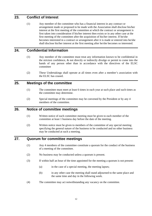## **23. Conflict of Interest**

(1) Any member of the committee who has a financial interest in any contract or arrangement made or proposed to be made with the Association shall disclose his/her interest at the first meeting of the committee at which the contract or arrangement is first taken into consideration if his/her interest then exists or in any other case at the first meeting of the committee after the acquisition of his/her interest. If he/she becomes interested in a contract or arrangement after it is made or entered into he/she shall disclose his/her interest at the first meeting after he/she becomes so interested.

## **24. Confidential Information**

- (1) Any member of the committee must treat any information known to be confidential in the strictest confidence, & not directly or indirectly divulge or permit to come into the hands of any person other than in accordance with the directives of the ELSC committee
- (2) These Undertakings shall operate at all times even after a member's association with the ELSC has ceased.

#### **25. Meetings of the committee**

- (1) The committee must meet at least 6 times in each year at such place and such times as the committee may determine.
- (2) Special meetings of the committee may be convened by the President or by any 4 members of the committee.

# **26. Notice of committee meetings**

- (1) Written notice of each committee meeting must be given to each member of the committee at least 1 business day before the date of the meeting.
- (2) Written notice must be given to members of the committee of any special meeting specifying the general nature of the business to be conducted and no other business may be conducted at such a meeting.

#### **27. Quorum for committee meetings**

- (1) Any 4 members of the committee constitute a quorum for the conduct of the business of a meeting of the committee.
- (2) No business may be conducted unless a quorum is present.
- (3) If within half an hour of the time appointed for the meeting a quorum is not present:
	- (a) in the case of a special meeting, the meeting lapses;
	- (b) in any other case the meeting shall stand adjourned to the same place and the same time and day in the following week.
- (4) The committee may act notwithstanding any vacancy on the committee.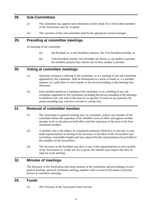#### **28. Sub-Committees**

- (1) The committee may appoint sub-committees as they think fit to which other members of the Association may be co-opted.
- (2) The convenor of that sub-committee shall be the appropriate section manager.

## **29. Presiding at committee meetings**

At meetings of the committee:

- (a) the President or, in the President's absence, the Vice-President presides; or
- (b) if the President and the Vice-President are absent, or are unable to preside, the members present must choose one of their number to preside.

## **30. Voting at committee meetings**

- (1) Questions arising at a meeting of the committee, or at a meeting of any sub-committee appointed by the committee, shall be determined on a show of hands or, if a member requests, by a poll taken in such manner as the person presiding at that meeting may determine.
- (2) Each member present at a meeting of the committee, or at a meeting of any subcommittee appointed by the committee (including the person presiding at the meeting), is entitled to one vote and, in the event of an equality of votes on any question, the person presiding may exercise a second or casting vote.

## **31. Removal of committee member**

- (1) The Association in general meeting may, by resolution, remove any member of the committee before the expiration of the member's term of office and appoint another member in his or her place to hold office until the expiration of the term of the firstmentioned member.
- (2) A member who is the subject of a proposed resolution referred to in sub-rule (1) may make representations in writing to the Secretary or President of the Association (not exceeding a reasonable length) and may request that the representations be provided to the members of the Association.
- (3) The Secretary or the President may give a copy of the representations to each member of the Association or, if they are not so given, the member may require that they be read out at the meeting.

## **32. Minutes of meetings**

The Secretary of the Association must keep minutes of the resolutions and proceedings of each general meeting, and each committee meeting, together with a record of the names of persons present at committee meetings.

### **33. Funds**

(1) The Treasurer of the Association must oversee: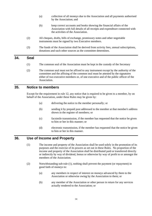- (a) collection of all moneys due to the Association and all payments authorised by the Association; and
- (b) keep correct accounts and books showing the financial affairs of the Association with full details of all receipts and expenditure connected with the activities of the Association.
- (2) All cheques, drafts, bills of exchange, promissory notes and other negotiable instruments must be signed by two Executive members.
- (3) The funds of the Association shall be derived from activity fees, annual subscriptions, donations and such other sources as the committee determines.

#### **34. Seal**

- (1) The common seal of the Association must be kept in the custody of the Secretary
- (2) The common seal must not be affixed to any instrument except by the authority of the committee and the affixing of the common seal must be attested by the signatures either of two executive members or, of one executive and of the public officer of the Association.

## **35. Notice to members**

Except for the requirement in rule 12, any notice that is required to be given to a member, by on behalf of the Association, under these Rules may be given by:

- (a) delivering the notice to the member personally; or
- (b) sending it by prepaid post addressed to the member at that member's address shown in the register of members; or
- (c) facsimile transmission, if the member has requested that the notice be given to him or her in this manner; or
- (d) electronic transmission, if the member has requested that the notice be given to him or her in this manner.

## **36. Use of Income and Property**

- (1) The income and property of the Association shall be used solely in the promotion of its purposes and the exercise of its powers as set out in these Rules. No proportion of the income and property of the Association shall be distributed paid or transferred directly or indirectly by way of dividend, bonus or otherwise by way of profit to or amongst the members of the Association.
- (2) Notwithstanding sub-rule (1), nothing shall prevent the payment (or repayment) in good faith of moneys to:
	- (a) any members in respect of interest on moneys advanced by them to the Association or otherwise owing by the Association to them; or
	- (b) any member of the Association or other person in return for any services actually rendered to the Association; or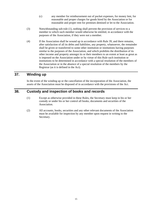- (c) any member for reimbursement out of pocket expenses, for money lent, for reasonable and proper charges for goods hired by the Association or for reasonable and proper rent for premises demised or let to the Association.
- (3) Notwithstanding sub-rule (1), nothing shall prevent the provision of services to a member to which such member would otherwise be entitled, in accordance with the purposes of the Association, if they were not a member.
- (4) If the Association shall be wound up in accordance with Rule 39, and there remains, after satisfaction of all its debts and liabilities, any property, whatsoever, the remainder shall be given or transferred to some other institution or institutions having purposes similar to the purposes of the Association, and which prohibits the distribution of its other income and property amongst its or their members to an extent at least as great as is imposed on the Association under or by virtue of this Rule such institution or institutions to be determined in accordance with a special resolution of the members of the Association or in the absence of a special resolution of the members by the Registrar (as it is defined in the Act).

## **37. Winding up**

In the event of the winding up or the cancellation of the incorporation of the Association, the assets of the Association must be disposed of in accordance with the provisions of the Act.

## **38. Custody and inspection of books and records**

- (1) Except as otherwise provided in these Rules, the Secretary must keep in his or her custody or under his or her control all books, documents and securities of the Association.
- (2) All accounts, books, securities and any other relevant documents of the Association must be available for inspection by any member upon request in writing to the Secretary.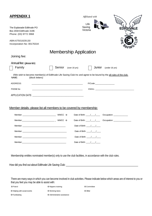| <b>APPENDIX1</b><br>The Esplanade Edithvale PO<br>Box 2034 Edithvale 3196<br>Phone: (03) 9772 3968                                              |                    | Affiliated with<br>Life<br>Saving<br>Victoria   | <b>EDITHVALE</b>                                                                                                                     |
|-------------------------------------------------------------------------------------------------------------------------------------------------|--------------------|-------------------------------------------------|--------------------------------------------------------------------------------------------------------------------------------------|
| ABN:67501829130<br>Incorporation No: 0017631K                                                                                                   |                    |                                                 |                                                                                                                                      |
|                                                                                                                                                 |                    | <b>Membership Application</b>                   |                                                                                                                                      |
| Joining fee:                                                                                                                                    |                    |                                                 |                                                                                                                                      |
| Annual fee: (please tick)                                                                                                                       |                    |                                                 |                                                                                                                                      |
| Family                                                                                                                                          | Senior             | Junior<br>(over 16 yrs)                         | (under 16 yrs)                                                                                                                       |
| I/We wish to become member(s) of Edithvale Life Saving Club Inc and agree to be bound by the all rules of the club.<br>(block letters)<br>NAME: |                    |                                                 |                                                                                                                                      |
| ADDRESS:                                                                                                                                        |                    |                                                 | P/Code:                                                                                                                              |
| PHONE No:                                                                                                                                       |                    |                                                 |                                                                                                                                      |
|                                                                                                                                                 |                    |                                                 |                                                                                                                                      |
| Member details- please list all members to be covered by membership:                                                                            |                    |                                                 |                                                                                                                                      |
|                                                                                                                                                 |                    | Date of Birth: $\frac{1}{2}$                    | Occupation: ______________                                                                                                           |
|                                                                                                                                                 |                    | Date of Birth: $\frac{\sqrt{2}}{2}$             |                                                                                                                                      |
|                                                                                                                                                 |                    |                                                 |                                                                                                                                      |
|                                                                                                                                                 |                    | Date of Birth: $\frac{1}{2}$                    |                                                                                                                                      |
|                                                                                                                                                 |                    |                                                 |                                                                                                                                      |
|                                                                                                                                                 |                    | Date of Birth: $\frac{1}{\sqrt{1-\frac{1}{2}}}$ |                                                                                                                                      |
| Membership entitles nominated member(s) only to use the club facilities, in accordance with the club rules.                                     |                    |                                                 |                                                                                                                                      |
| that you feel you may be able to assist with:                                                                                                   |                    |                                                 | There are many ways in which you can become involved in club activities. Please indicate below which areas are of interest to you or |
| <b>O</b> Patrol                                                                                                                                 | O Nippers training | O Committee                                     |                                                                                                                                      |
| O Helping with social events                                                                                                                    | O Working bees     | <b>O</b> Other                                  |                                                                                                                                      |

**O** Fundraising **O** Administrative assistance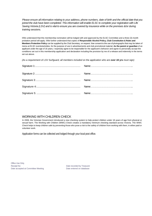*Please ensure all information relating to your address, phone numbers, date of birth and the official date that you joined the club have been completed. This information will enable ELSC to complete your registration with Life Saving Victoria (LSV) and is vital to ensure you are covered by insurance while on the premises &/or during training sessions.*

I/We understand that this membership nomination will be lodged with and approved by the ELSC Committee and a three (3) month probation period will apply. I/We further understand that copies of **Responsible Alcohol Policy, Club Constitution & Rules and Members Protection Policy** can be supplied by the Club Secretary, on request. I/we consent to the use of photographs that may be taken of me/us at ELSC events/activities, for the purpose of use in advertisements and club promotional material. **As the parent or guardian** of an applicant under the age of 16 years, I expressly agree to be responsible for the applicant's behavior and agree to personally accept the conditions set out in this membership application and declaration including the provision by me of a release and indemnity in the terms set out above.

*(As a requirement of LSV Surfguard, all members included* on the *application who are over 16* **yrs** *must sign)*

#### WORKING WITH CHILDREN CHECK

In 2006, the Victorian Government introduced a new checking system to help protect children under 18 years of age from physical or sexual harm. The Working with Children (WWC) Check creates a mandatory minimum checking standard across Victoria. The WWC Check helps to keep children safe by preventing those who pose a risk to the safety of children from working with them, in either paid or volunteer work.

Application forms can be collected and lodged through your local post office.

Office Use Only. Receipt No: **Date recorded by Treasurer Receipt No:** Date recorded by Treasurer Date accepted at Committee Meeting Date entered on database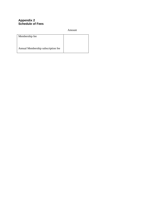#### **Appendix 2 Schedule of Fees**

Amount

| Annual Membership subscription fee |  |
|------------------------------------|--|